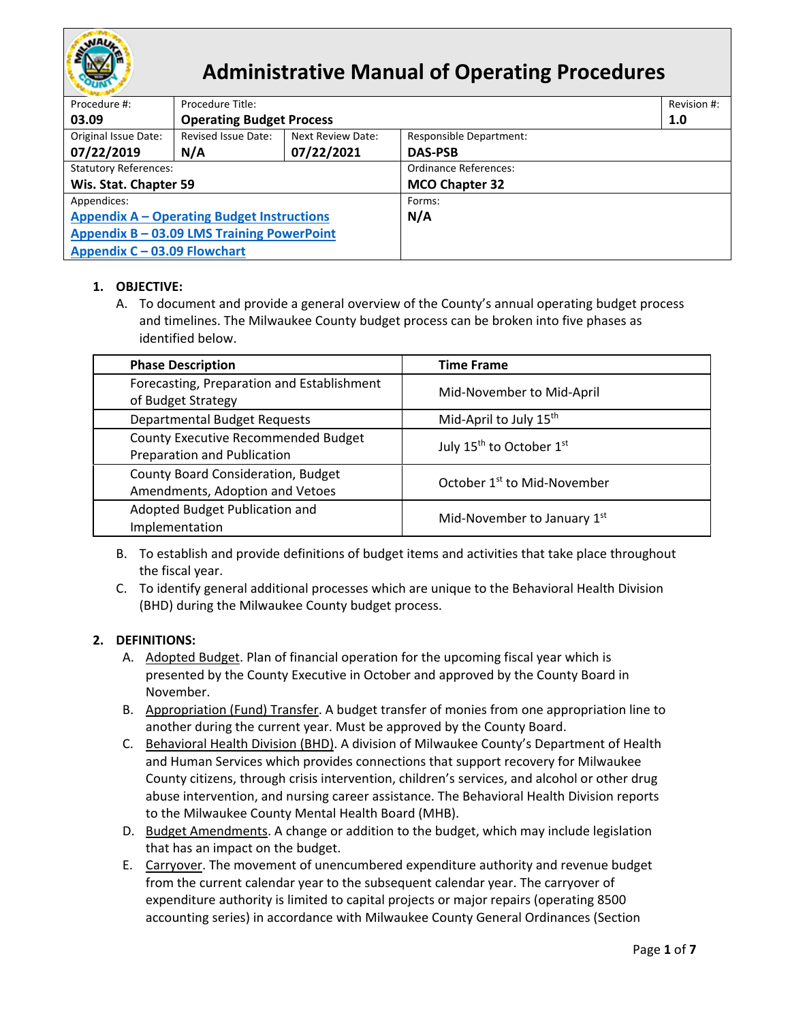

# **Administrative Manual of Operating Procedures**

| Procedure #:                                      | Procedure Title:                |                   |                                |  |  |
|---------------------------------------------------|---------------------------------|-------------------|--------------------------------|--|--|
| 03.09                                             | <b>Operating Budget Process</b> |                   |                                |  |  |
| Original Issue Date:                              | Revised Issue Date:             | Next Review Date: | <b>Responsible Department:</b> |  |  |
| 07/22/2019                                        | N/A                             | 07/22/2021        | <b>DAS-PSB</b>                 |  |  |
| <b>Statutory References:</b>                      |                                 |                   | <b>Ordinance References:</b>   |  |  |
| Wis. Stat. Chapter 59                             |                                 |                   | <b>MCO Chapter 32</b>          |  |  |
| Appendices:                                       |                                 |                   | Forms:                         |  |  |
| <b>Appendix A - Operating Budget Instructions</b> |                                 |                   | N/A                            |  |  |
| Appendix B - 03.09 LMS Training PowerPoint        |                                 |                   |                                |  |  |
| Appendix C - 03.09 Flowchart                      |                                 |                   |                                |  |  |

# **1. OBJECTIVE:**

A. To document and provide a general overview of the County's annual operating budget process and timelines. The Milwaukee County budget process can be broken into five phases as identified below.

| <b>Phase Description</b>                                              | <b>Time Frame</b>                       |  |
|-----------------------------------------------------------------------|-----------------------------------------|--|
| Forecasting, Preparation and Establishment<br>of Budget Strategy      | Mid-November to Mid-April               |  |
| <b>Departmental Budget Requests</b>                                   | Mid-April to July 15 <sup>th</sup>      |  |
| County Executive Recommended Budget<br>Preparation and Publication    | July 15 <sup>th</sup> to October 1st    |  |
| County Board Consideration, Budget<br>Amendments, Adoption and Vetoes | October 1 <sup>st</sup> to Mid-November |  |
| Adopted Budget Publication and<br>Implementation                      | Mid-November to January 1st             |  |

- B. To establish and provide definitions of budget items and activities that take place throughout the fiscal year.
- C. To identify general additional processes which are unique to the Behavioral Health Division (BHD) during the Milwaukee County budget process.

### **2. DEFINITIONS:**

- A. Adopted Budget. Plan of financial operation for the upcoming fiscal year which is presented by the County Executive in October and approved by the County Board in November.
- B. Appropriation (Fund) Transfer. A budget transfer of monies from one appropriation line to another during the current year. Must be approved by the County Board.
- C. Behavioral Health Division (BHD). A division of Milwaukee County's Department of Health and Human Services which provides connections that support recovery for Milwaukee County citizens, through crisis intervention, children's services, and alcohol or other drug abuse intervention, and nursing career assistance. The Behavioral Health Division reports to the Milwaukee County Mental Health Board (MHB).
- D. Budget Amendments. A change or addition to the budget, which may include legislation that has an impact on the budget.
- E. Carryover. The movement of unencumbered expenditure authority and revenue budget from the current calendar year to the subsequent calendar year. The carryover of expenditure authority is limited to capital projects or major repairs (operating 8500 accounting series) in accordance with Milwaukee County General Ordinances (Section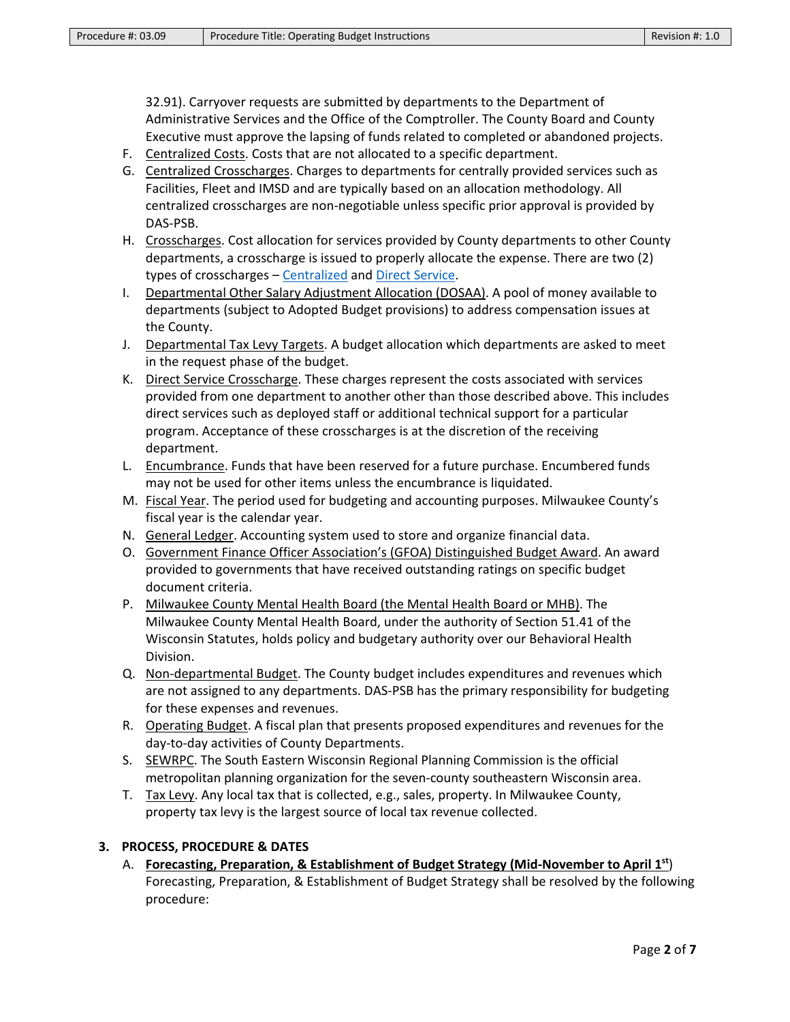32.91). Carryover requests are submitted by departments to the Department of Administrative Services and the Office of the Comptroller. The County Board and County Executive must approve the lapsing of funds related to completed or abandoned projects.

- F. Centralized Costs. Costs that are not allocated to a specific department.
- <span id="page-1-0"></span>G. Centralized Crosscharges. Charges to departments for centrally provided services such as Facilities, Fleet and IMSD and are typically based on an allocation methodology. All centralized crosscharges are non-negotiable unless specific prior approval is provided by DAS-PSB.
- H. Crosscharges. Cost allocation for services provided by County departments to other County departments, a crosscharge is issued to properly allocate the expense. There are two (2) types of crosscharges – [Centralized](#page-1-0) and [Direct Service.](#page-1-1)
- I. Departmental Other Salary Adjustment Allocation (DOSAA). A pool of money available to departments (subject to Adopted Budget provisions) to address compensation issues at the County.
- J. Departmental Tax Levy Targets. A budget allocation which departments are asked to meet in the request phase of the budget.
- <span id="page-1-1"></span>K. Direct Service Crosscharge. These charges represent the costs associated with services provided from one department to another other than those described above. This includes direct services such as deployed staff or additional technical support for a particular program. Acceptance of these crosscharges is at the discretion of the receiving department.
- L. Encumbrance. Funds that have been reserved for a future purchase. Encumbered funds may not be used for other items unless the encumbrance is liquidated.
- M. Fiscal Year. The period used for budgeting and accounting purposes. Milwaukee County's fiscal year is the calendar year.
- N. General Ledger. Accounting system used to store and organize financial data.
- O. Government Finance Officer Association's (GFOA) Distinguished Budget Award. An award provided to governments that have received outstanding ratings on specific budget document criteria.
- P. Milwaukee County Mental Health Board (the Mental Health Board or MHB). The Milwaukee County Mental Health Board, under the authority of Section 51.41 of the Wisconsin Statutes, holds policy and budgetary authority over our Behavioral Health Division.
- Q. Non-departmental Budget. The County budget includes expenditures and revenues which are not assigned to any departments. DAS-PSB has the primary responsibility for budgeting for these expenses and revenues.
- R. Operating Budget. A fiscal plan that presents proposed expenditures and revenues for the day-to-day activities of County Departments.
- S. SEWRPC. The South Eastern Wisconsin Regional Planning Commission is the official metropolitan planning organization for the seven-county southeastern Wisconsin area.
- <span id="page-1-2"></span>T. Tax Levy. Any local tax that is collected, e.g., sales, property. In Milwaukee County, property tax levy is the largest source of local tax revenue collected.

### **3. PROCESS, PROCEDURE & DATES**

A. **Forecasting, Preparation, & Establishment of Budget Strategy (Mid-November to April 1st**) Forecasting, Preparation, & Establishment of Budget Strategy shall be resolved by the following procedure: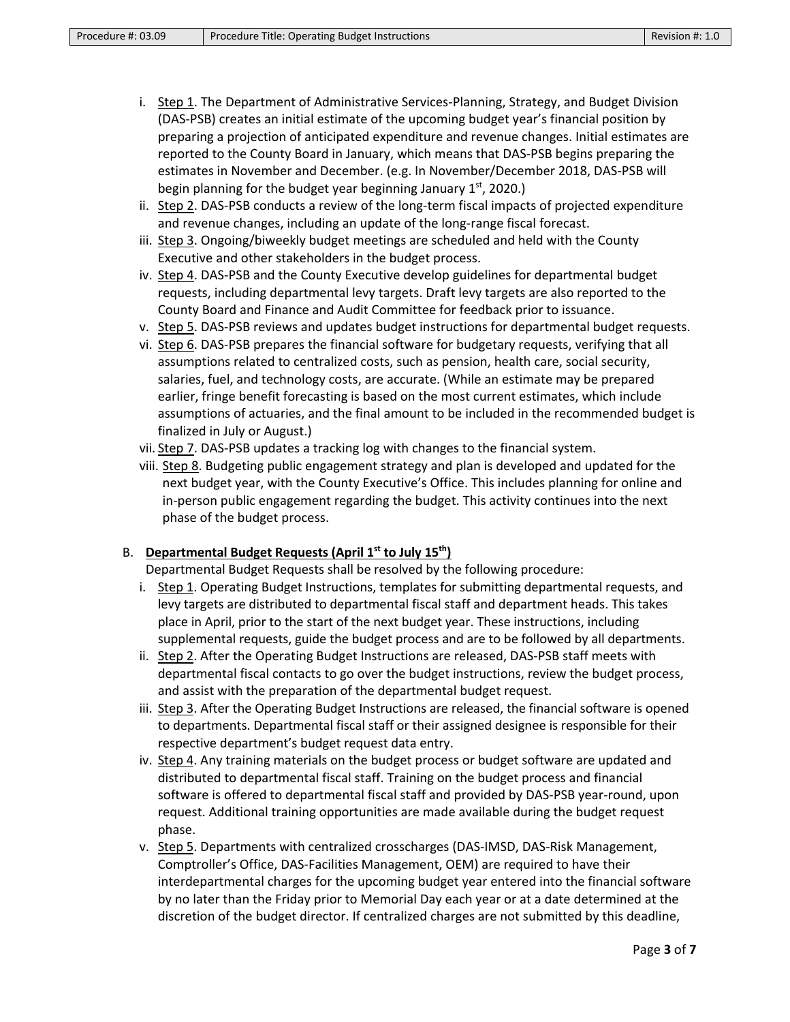- i. Step 1. The Department of Administrative Services-Planning, Strategy, and Budget Division (DAS-PSB) creates an initial estimate of the upcoming budget year's financial position by preparing a projection of anticipated expenditure and revenue changes. Initial estimates are reported to the County Board in January, which means that DAS-PSB begins preparing the estimates in November and December. (e.g. In November/December 2018, DAS-PSB will begin planning for the budget year beginning January  $1<sup>st</sup>$ , 2020.)
- ii. Step 2. DAS-PSB conducts a review of the long-term fiscal impacts of projected expenditure and revenue changes, including an update of the long-range fiscal forecast.
- iii. Step 3. Ongoing/biweekly budget meetings are scheduled and held with the County Executive and other stakeholders in the budget process.
- iv. Step 4. DAS-PSB and the County Executive develop guidelines for departmental budget requests, including departmental levy targets. Draft levy targets are also reported to the County Board and Finance and Audit Committee for feedback prior to issuance.
- v. Step 5. DAS-PSB reviews and updates budget instructions for departmental budget requests.
- vi. Step 6. DAS-PSB prepares the financial software for budgetary requests, verifying that all assumptions related to centralized costs, such as pension, health care, social security, salaries, fuel, and technology costs, are accurate. (While an estimate may be prepared earlier, fringe benefit forecasting is based on the most current estimates, which include assumptions of actuaries, and the final amount to be included in the recommended budget is finalized in July or August.)
- vii. Step 7. DAS-PSB updates a tracking log with changes to the financial system.
- viii. Step 8. Budgeting public engagement strategy and plan is developed and updated for the next budget year, with the County Executive's Office. This includes planning for online and in-person public engagement regarding the budget. This activity continues into the next phase of the budget process.

### B. **Departmental Budget Requests (April 1st to July 15th)**

Departmental Budget Requests shall be resolved by the following procedure:

- i. Step 1. Operating Budget Instructions, templates for submitting departmental requests, and levy targets are distributed to departmental fiscal staff and department heads. This takes place in April, prior to the start of the next budget year. These instructions, including supplemental requests, guide the budget process and are to be followed by all departments.
- ii. Step 2. After the Operating Budget Instructions are released, DAS-PSB staff meets with departmental fiscal contacts to go over the budget instructions, review the budget process, and assist with the preparation of the departmental budget request.
- iii. Step 3. After the Operating Budget Instructions are released, the financial software is opened to departments. Departmental fiscal staff or their assigned designee is responsible for their respective department's budget request data entry.
- iv. Step 4. Any training materials on the budget process or budget software are updated and distributed to departmental fiscal staff. Training on the budget process and financial software is offered to departmental fiscal staff and provided by DAS-PSB year-round, upon request. Additional training opportunities are made available during the budget request phase.
- v. Step 5. Departments with centralized crosscharges (DAS-IMSD, DAS-Risk Management, Comptroller's Office, DAS-Facilities Management, OEM) are required to have their interdepartmental charges for the upcoming budget year entered into the financial software by no later than the Friday prior to Memorial Day each year or at a date determined at the discretion of the budget director. If centralized charges are not submitted by this deadline,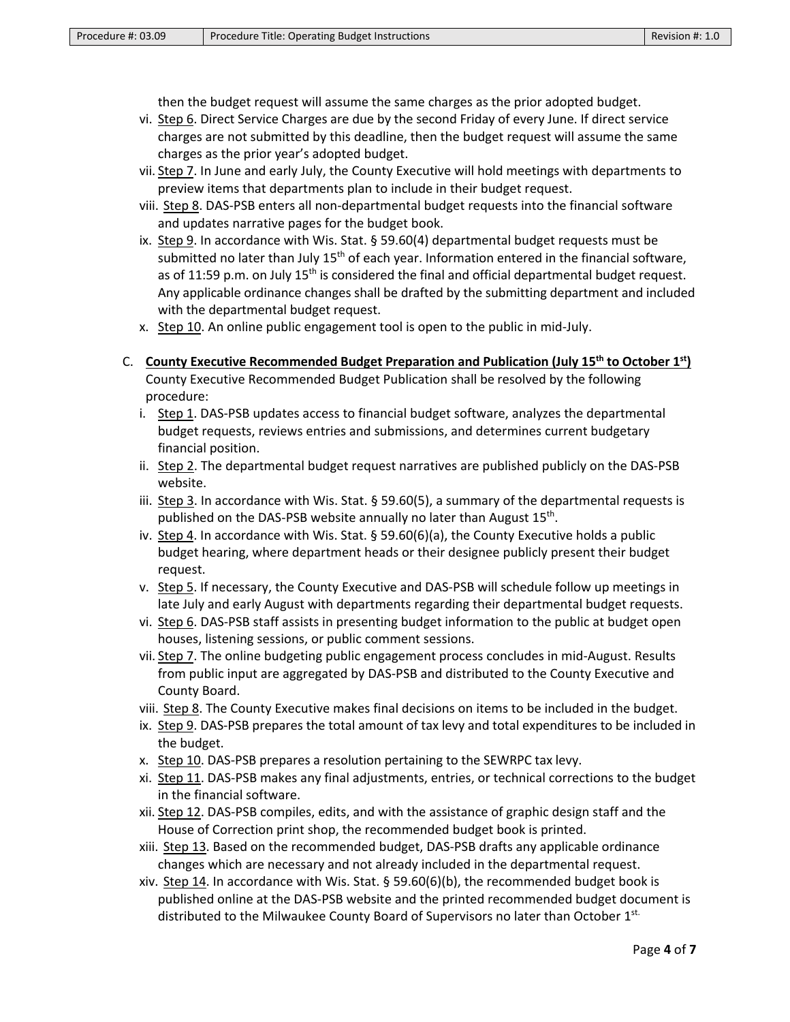then the budget request will assume the same charges as the prior adopted budget.

- vi. Step 6. Direct Service Charges are due by the second Friday of every June. If direct service charges are not submitted by this deadline, then the budget request will assume the same charges as the prior year's adopted budget.
- vii. Step 7. In June and early July, the County Executive will hold meetings with departments to preview items that departments plan to include in their budget request.
- viii. Step 8. DAS-PSB enters all non-departmental budget requests into the financial software and updates narrative pages for the budget book.
- ix. Step 9. In accordance with Wis. Stat. § 59.60(4) departmental budget requests must be submitted no later than July  $15<sup>th</sup>$  of each year. Information entered in the financial software, as of 11:59 p.m. on July 15<sup>th</sup> is considered the final and official departmental budget request. Any applicable ordinance changes shall be drafted by the submitting department and included with the departmental budget request.
- x. Step 10. An online public engagement tool is open to the public in mid-July.
- C. **County Executive Recommended Budget Preparation and Publication (July 15th to October 1st)** County Executive Recommended Budget Publication shall be resolved by the following

procedure:

- i. Step 1. DAS-PSB updates access to financial budget software, analyzes the departmental budget requests, reviews entries and submissions, and determines current budgetary financial position.
- ii. Step 2. The departmental budget request narratives are published publicly on the DAS-PSB website.
- iii. Step 3. In accordance with Wis. Stat. § 59.60(5), a summary of the departmental requests is published on the DAS-PSB website annually no later than August 15<sup>th</sup>.
- iv. Step 4. In accordance with Wis. Stat. § 59.60(6)(a), the County Executive holds a public budget hearing, where department heads or their designee publicly present their budget request.
- v. Step 5. If necessary, the County Executive and DAS-PSB will schedule follow up meetings in late July and early August with departments regarding their departmental budget requests.
- vi. Step 6. DAS-PSB staff assists in presenting budget information to the public at budget open houses, listening sessions, or public comment sessions.
- vii. Step 7. The online budgeting public engagement process concludes in mid-August. Results from public input are aggregated by DAS-PSB and distributed to the County Executive and County Board.
- viii. Step 8. The County Executive makes final decisions on items to be included in the budget.
- ix. Step 9. DAS-PSB prepares the total amount of tax levy and total expenditures to be included in the budget.
- x. Step 10. DAS-PSB prepares a resolution pertaining to the SEWRPC tax levy.
- xi. Step 11. DAS-PSB makes any final adjustments, entries, or technical corrections to the budget in the financial software.
- xii. Step 12. DAS-PSB compiles, edits, and with the assistance of graphic design staff and the House of Correction print shop, the recommended budget book is printed.
- xiii. Step 13. Based on the recommended budget, DAS-PSB drafts any applicable ordinance changes which are necessary and not already included in the departmental request.
- xiv. Step 14. In accordance with Wis. Stat.  $\S$  59.60(6)(b), the recommended budget book is published online at the DAS-PSB website and the printed recommended budget document is distributed to the Milwaukee County Board of Supervisors no later than October 1st.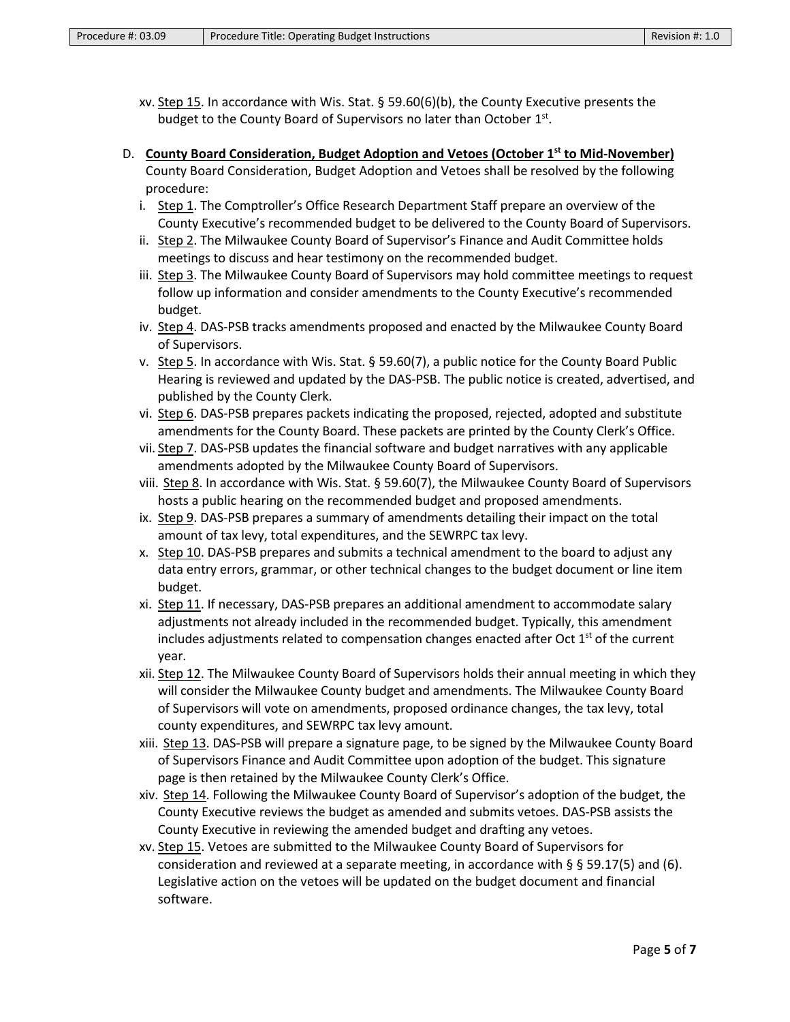- xv. Step 15. In accordance with Wis. Stat.  $\S$  59.60(6)(b), the County Executive presents the budget to the County Board of Supervisors no later than October 1st.
- D. **County Board Consideration, Budget Adoption and Vetoes (October 1st to Mid-November)** County Board Consideration, Budget Adoption and Vetoes shall be resolved by the following procedure:
	- i. Step 1. The Comptroller's Office Research Department Staff prepare an overview of the County Executive's recommended budget to be delivered to the County Board of Supervisors.
	- ii. Step 2. The Milwaukee County Board of Supervisor's Finance and Audit Committee holds meetings to discuss and hear testimony on the recommended budget.
	- iii. Step 3. The Milwaukee County Board of Supervisors may hold committee meetings to request follow up information and consider amendments to the County Executive's recommended budget.
	- iv. Step 4. DAS-PSB tracks amendments proposed and enacted by the Milwaukee County Board of Supervisors.
	- v. Step 5. In accordance with Wis. Stat. § 59.60(7), a public notice for the County Board Public Hearing is reviewed and updated by the DAS-PSB. The public notice is created, advertised, and published by the County Clerk.
	- vi. Step 6. DAS-PSB prepares packets indicating the proposed, rejected, adopted and substitute amendments for the County Board. These packets are printed by the County Clerk's Office.
	- vii. Step 7. DAS-PSB updates the financial software and budget narratives with any applicable amendments adopted by the Milwaukee County Board of Supervisors.
	- viii. Step 8. In accordance with Wis. Stat. § 59.60(7), the Milwaukee County Board of Supervisors hosts a public hearing on the recommended budget and proposed amendments.
	- ix. Step 9. DAS-PSB prepares a summary of amendments detailing their impact on the total amount of [tax levy,](#page-1-2) total expenditures, and the SEWRPC tax levy.
	- x. Step 10. DAS-PSB prepares and submits a technical amendment to the board to adjust any data entry errors, grammar, or other technical changes to the budget document or line item budget.
	- xi. Step 11. If necessary, DAS-PSB prepares an additional amendment to accommodate salary adjustments not already included in the recommended budget. Typically, this amendment includes adjustments related to compensation changes enacted after Oct  $1<sup>st</sup>$  of the current year.
	- xii. Step 12. The Milwaukee County Board of Supervisors holds their annual meeting in which they will consider the Milwaukee County budget and amendments. The Milwaukee County Board of Supervisors will vote on amendments, proposed ordinance changes, the tax levy, total county expenditures, and SEWRPC tax levy amount.
	- xiii. Step 13. DAS-PSB will prepare a signature page, to be signed by the Milwaukee County Board of Supervisors Finance and Audit Committee upon adoption of the budget. This signature page is then retained by the Milwaukee County Clerk's Office.
	- xiv. Step 14. Following the Milwaukee County Board of Supervisor's adoption of the budget, the County Executive reviews the budget as amended and submits vetoes. DAS-PSB assists the County Executive in reviewing the amended budget and drafting any vetoes.
	- xv. Step 15. Vetoes are submitted to the Milwaukee County Board of Supervisors for consideration and reviewed at a separate meeting, in accordance with  $\S$  § 59.17(5) and (6). Legislative action on the vetoes will be updated on the budget document and financial software.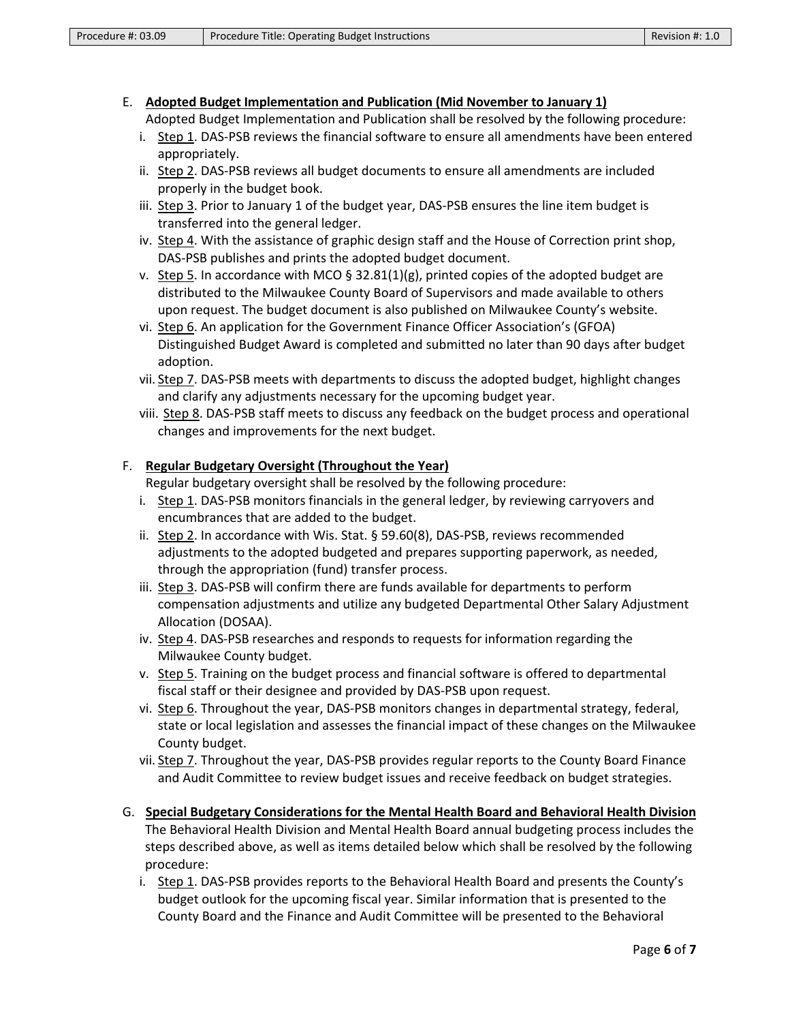#### E. **Adopted Budget Implementation and Publication (Mid November to January 1)** Adopted Budget Implementation and Publication shall be resolved by the following procedure:

- i. Step 1. DAS-PSB reviews the financial software to ensure all amendments have been entered appropriately.
- ii. Step 2. DAS-PSB reviews all budget documents to ensure all amendments are included properly in the budget book.
- iii. Step 3. Prior to January 1 of the budget year, DAS-PSB ensures the line item budget is transferred into the general ledger.
- iv. Step 4. With the assistance of graphic design staff and the House of Correction print shop, DAS-PSB publishes and prints the adopted budget document.
- v. Step 5. In accordance with MCO § 32.81(1)(g), printed copies of the adopted budget are distributed to the Milwaukee County Board of Supervisors and made available to others upon request. The budget document is also published on Milwaukee County's website.
- vi. Step 6. An application for the Government Finance Officer Association's (GFOA) Distinguished Budget Award is completed and submitted no later than 90 days after budget adoption.
- vii. Step 7. DAS-PSB meets with departments to discuss the adopted budget, highlight changes and clarify any adjustments necessary for the upcoming budget year.
- viii. Step 8. DAS-PSB staff meets to discuss any feedback on the budget process and operational changes and improvements for the next budget.

# F. **Regular Budgetary Oversight (Throughout the Year)**

Regular budgetary oversight shall be resolved by the following procedure:

- i. Step 1. DAS-PSB monitors financials in the general ledger, by reviewing carryovers and encumbrances that are added to the budget.
- ii. Step 2. In accordance with Wis. Stat. § 59.60(8), DAS-PSB, reviews recommended adjustments to the adopted budgeted and prepares supporting paperwork, as needed, through the appropriation (fund) transfer process.
- iii. Step 3. DAS-PSB will confirm there are funds available for departments to perform compensation adjustments and utilize any budgeted Departmental Other Salary Adjustment Allocation (DOSAA).
- iv. Step 4. DAS-PSB researches and responds to requests for information regarding the Milwaukee County budget.
- v. Step 5. Training on the budget process and financial software is offered to departmental fiscal staff or their designee and provided by DAS-PSB upon request.
- vi. Step 6. Throughout the year, DAS-PSB monitors changes in departmental strategy, federal, state or local legislation and assesses the financial impact of these changes on the Milwaukee County budget.
- vii. Step 7. Throughout the year, DAS-PSB provides regular reports to the County Board Finance and Audit Committee to review budget issues and receive feedback on budget strategies.
- G. **Special Budgetary Considerations for the Mental Health Board and Behavioral Health Division** The Behavioral Health Division and Mental Health Board annual budgeting process includes the steps described above, as well as items detailed below which shall be resolved by the following procedure:
	- i. Step 1. DAS-PSB provides reports to the Behavioral Health Board and presents the County's budget outlook for the upcoming fiscal year. Similar information that is presented to the County Board and the Finance and Audit Committee will be presented to the Behavioral